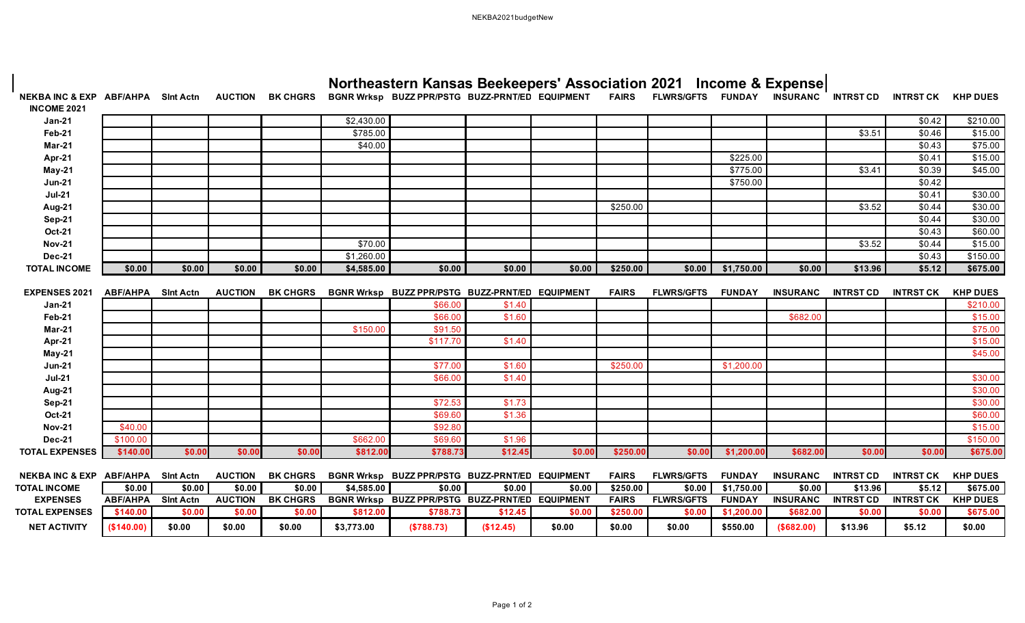## NEKBA2021budgetNew

a l

| NEKBA INC & EXP ABF/AHPA SInt Actn AUCTION BK CHGRS BGNR Wrksp BUZZ PPR/PSTG BUZZ-PRNT/ED EQUIPMENT<br><b>INCOME 2021</b> |                 |                  |                |                 |            |                                                 |           |        | <b>FAIRS</b> | <b>FLWRS/GFTS</b> | <b>FUNDAY</b> | INSURANC        | <b>INTRST CD</b> | <b>INTRST CK KHP DUES</b> |                 |
|---------------------------------------------------------------------------------------------------------------------------|-----------------|------------------|----------------|-----------------|------------|-------------------------------------------------|-----------|--------|--------------|-------------------|---------------|-----------------|------------------|---------------------------|-----------------|
| $Jan-21$                                                                                                                  |                 |                  |                |                 | \$2,430.00 |                                                 |           |        |              |                   |               |                 |                  | \$0.42                    | \$210.00        |
| Feb-21                                                                                                                    |                 |                  |                |                 | \$785.00   |                                                 |           |        |              |                   |               |                 | \$3.51           | \$0.46                    | \$15.00         |
| <b>Mar-21</b>                                                                                                             |                 |                  |                |                 | \$40.00    |                                                 |           |        |              |                   |               |                 |                  | \$0.43                    | \$75.00         |
| Apr-21                                                                                                                    |                 |                  |                |                 |            |                                                 |           |        |              |                   | \$225.00      |                 |                  | \$0.41                    | \$15.00         |
| <b>May-21</b>                                                                                                             |                 |                  |                |                 |            |                                                 |           |        |              |                   | \$775.00      |                 | \$3.41           | \$0.39                    | \$45.00         |
| <b>Jun-21</b>                                                                                                             |                 |                  |                |                 |            |                                                 |           |        |              |                   | \$750.00      |                 |                  | \$0.42                    |                 |
| $Jul-21$                                                                                                                  |                 |                  |                |                 |            |                                                 |           |        |              |                   |               |                 |                  | \$0.41                    | \$30.00         |
| Aug-21                                                                                                                    |                 |                  |                |                 |            |                                                 |           |        | \$250.00     |                   |               |                 | \$3.52           | \$0.44                    | \$30.00         |
| <b>Sep-21</b>                                                                                                             |                 |                  |                |                 |            |                                                 |           |        |              |                   |               |                 |                  | \$0.44                    | \$30.00         |
| <b>Oct-21</b>                                                                                                             |                 |                  |                |                 |            |                                                 |           |        |              |                   |               |                 |                  | \$0.43                    | \$60.00         |
| <b>Nov-21</b>                                                                                                             |                 |                  |                |                 | \$70.00    |                                                 |           |        |              |                   |               |                 | \$3.52           | \$0.44                    | \$15.00         |
| <b>Dec-21</b>                                                                                                             |                 |                  |                |                 | \$1,260.00 |                                                 |           |        |              |                   |               |                 |                  | \$0.43                    | \$150.00        |
| <b>TOTAL INCOME</b>                                                                                                       | \$0.00          | \$0.00           | \$0.00         | \$0.00          | \$4,585.00 | \$0.00                                          | \$0.00    | \$0.00 | \$250.00     | \$0.00            | \$1,750.00    | \$0.00          | \$13.96          | \$5.12                    | \$675.00        |
| EXPENSES 2021                                                                                                             | <b>ABF/AHPA</b> | <b>Sint Actn</b> | <b>AUCTION</b> | <b>BK CHGRS</b> |            | BGNR Wrksp BUZZ PPR/PSTG BUZZ-PRNT/ED EQUIPMENT |           |        | <b>FAIRS</b> | <b>FLWRS/GFTS</b> | <b>FUNDAY</b> | <b>INSURANC</b> | <b>INTRST CD</b> | <b>INTRST CK</b>          | <b>KHP DUES</b> |
| $Jan-21$                                                                                                                  |                 |                  |                |                 |            | \$66.00                                         | \$1.40    |        |              |                   |               |                 |                  |                           | \$210.00        |
| <b>Feb-21</b>                                                                                                             |                 |                  |                |                 |            | \$66.00                                         | \$1.60    |        |              |                   |               | \$682.00        |                  |                           | \$15.00         |
| Mar-21                                                                                                                    |                 |                  |                |                 | \$150.00   | \$91.50                                         |           |        |              |                   |               |                 |                  |                           | \$75.00         |
| Apr-21                                                                                                                    |                 |                  |                |                 |            | \$117.70                                        | \$1.40    |        |              |                   |               |                 |                  |                           | \$15.00         |
| May-21                                                                                                                    |                 |                  |                |                 |            |                                                 |           |        |              |                   |               |                 |                  |                           | \$45.00         |
| <b>Jun-21</b>                                                                                                             |                 |                  |                |                 |            | \$77.00                                         | \$1.60    |        | \$250.00     |                   | \$1,200.00    |                 |                  |                           |                 |
| $Jul-21$                                                                                                                  |                 |                  |                |                 |            | \$66.00                                         | \$1.40    |        |              |                   |               |                 |                  |                           | \$30.00         |
| Aug-21                                                                                                                    |                 |                  |                |                 |            |                                                 |           |        |              |                   |               |                 |                  |                           | \$30.00         |
| Sep-21                                                                                                                    |                 |                  |                |                 |            | \$72.53                                         | \$1.73    |        |              |                   |               |                 |                  |                           | \$30.00         |
| <b>Oct-21</b>                                                                                                             |                 |                  |                |                 |            | \$69.60                                         | \$1.36    |        |              |                   |               |                 |                  |                           | \$60.00         |
| <b>Nov-21</b>                                                                                                             | \$40.00         |                  |                |                 |            | \$92.80                                         |           |        |              |                   |               |                 |                  |                           | \$15.00         |
| <b>Dec-21</b>                                                                                                             | \$100.00        |                  |                |                 | \$662.00   | \$69.60                                         | \$1.96    |        |              |                   |               |                 |                  |                           | \$150.00        |
| <b>TOTAL EXPENSES</b>                                                                                                     | \$140.00        | \$0.00           | \$0.00         | \$0.00          | \$812.00   | \$788.73                                        | \$12.45   | \$0.00 | \$250.00     | \$0.00            | \$1,200.00    | \$682.00        | \$0.00           | \$0.00                    | \$675.00        |
| <b>NEKBA INC &amp; EXP</b>                                                                                                | <b>ABF/AHPA</b> | <b>Sint Actn</b> | <b>AUCTION</b> | <b>BK CHGRS</b> |            | BGNR Wrksp BUZZ PPR/PSTG BUZZ-PRNT/ED EQUIPMENT |           |        | <b>FAIRS</b> | <b>FLWRS/GFTS</b> | <b>FUNDAY</b> | <b>INSURANC</b> | <b>INTRST CD</b> | <b>INTRST CK</b>          | <b>KHP DUES</b> |
| <b>TOTAL INCOME</b>                                                                                                       | \$0.00          | \$0.00           | \$0.00         | \$0.00          | \$4,585.00 | \$0.00                                          | \$0.00    | \$0.00 | \$250.00     | \$0.00            | \$1,750.00    | \$0.00          | \$13.96          | \$5.12                    | 5675.00         |
| <b>EXPENSES</b>                                                                                                           | <b>ABF/AHPA</b> | <b>Sint Actn</b> | <b>AUCTION</b> | <b>BK CHGRS</b> |            | BGNR Wrksp BUZZ PPR/PSTG BUZZ-PRNT/ED EQUIPMENT |           |        | <b>FAIRS</b> | <b>FLWRS/GFTS</b> | <b>FUNDAY</b> | <b>INSURANC</b> | <b>INTRST CD</b> | <b>INTRST CK</b>          | <b>KHP DUES</b> |
| <b>TOTAL EXPENSES</b>                                                                                                     | \$140.00        | \$0.00           | \$0.00         | \$0.00          | \$812.00   | \$788.73                                        | \$12.45   | \$0.00 | \$250.00     | \$0.00            | \$1,200.00    | \$682.00        | \$0.00           | \$0.00                    | \$675.00        |
| <b>NET ACTIVITY</b>                                                                                                       | (\$140.00)      | \$0.00           | \$0.00         | \$0.00          | \$3,773.00 | (\$788.73)                                      | (\$12.45) | \$0.00 | \$0.00       | \$0.00            | \$550.00      | (\$682.00)      | \$13.96          | \$5.12                    | \$0.00          |